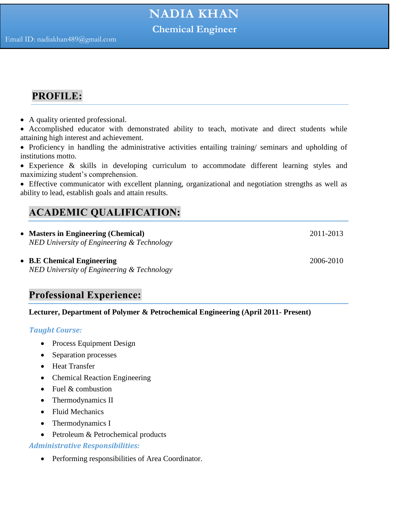## **PROFILE:**

- A quality oriented professional.
- Accomplished educator with demonstrated ability to teach, motivate and direct students while attaining high interest and achievement.
- Proficiency in handling the administrative activities entailing training/ seminars and upholding of institutions motto.
- Experience & skills in developing curriculum to accommodate different learning styles and maximizing student's comprehension.
- Effective communicator with excellent planning, organizational and negotiation strengths as well as ability to lead, establish goals and attain results.

## **ACADEMIC QUALIFICATION:**

- **Masters in Engineering (Chemical)** 2011-2013 *NED University of Engineering & Technology*
- **B.E Chemical Engineering** 2006-2010 *NED University of Engineering & Technology*

### **Professional Experience:**

#### **Lecturer, Department of Polymer & Petrochemical Engineering (April 2011- Present)**

#### *Taught Course:*

- Process Equipment Design
- Separation processes
- Heat Transfer
- Chemical Reaction Engineering
- $\bullet$  Fuel & combustion
- Thermodynamics II
- Fluid Mechanics
- Thermodynamics I
- Petroleum & Petrochemical products

#### *Administrative Responsibilities:*

• Performing responsibilities of Area Coordinator.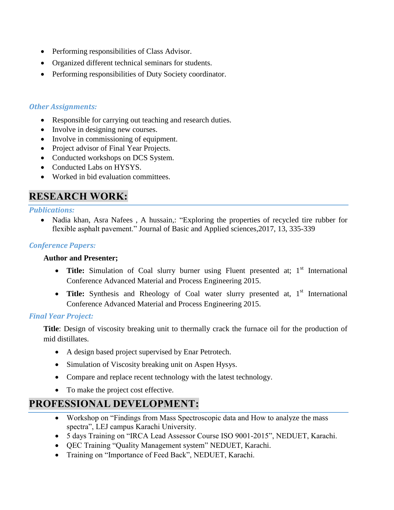- Performing responsibilities of Class Advisor.
- Organized different technical seminars for students.
- Performing responsibilities of Duty Society coordinator.

#### *Other Assignments:*

- Responsible for carrying out teaching and research duties.
- Involve in designing new courses.
- Involve in commissioning of equipment.
- Project advisor of Final Year Projects.
- Conducted workshops on DCS System.
- Conducted Labs on HYSYS.
- Worked in bid evaluation committees.

## **RESEARCH WORK:**

#### *Publications:*

• Nadia khan, Asra Nafees, A hussain,: "Exploring the properties of recycled tire rubber for flexible asphalt pavement." Journal of Basic and Applied sciences,2017, 13, 335-339

#### *Conference Papers:*

#### **Author and Presenter;**

- Title: Simulation of Coal slurry burner using Fluent presented at; 1<sup>st</sup> International Conference Advanced Material and Process Engineering 2015.
- Title: Synthesis and Rheology of Coal water slurry presented at, 1<sup>st</sup> International Conference Advanced Material and Process Engineering 2015.

#### *Final Year Project:*

**Title**: Design of viscosity breaking unit to thermally crack the furnace oil for the production of mid distillates.

- A design based project supervised by Enar Petrotech.
- Simulation of Viscosity breaking unit on Aspen Hysys.
- Compare and replace recent technology with the latest technology.
- To make the project cost effective.

### **PROFESSIONAL DEVELOPMENT:**

- Workshop on "Findings from Mass Spectroscopic data and How to analyze the mass spectra", LEJ campus Karachi University.
- 5 days Training on "IRCA Lead Assessor Course ISO 9001-2015", NEDUET, Karachi.
- QEC Training "Quality Management system" NEDUET, Karachi.
- Training on "Importance of Feed Back", NEDUET, Karachi.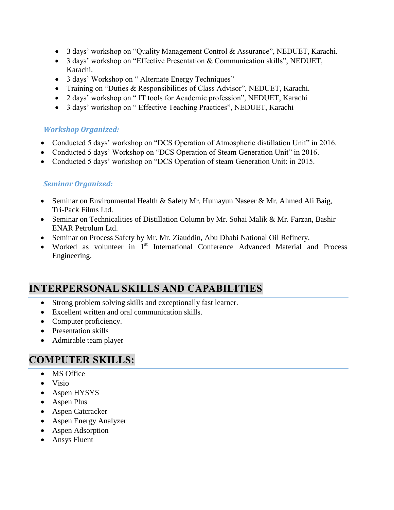- 3 days' workshop on "Quality Management Control & Assurance", NEDUET, Karachi.
- 3 days' workshop on "Effective Presentation & Communication skills", NEDUET, Karachi.
- 3 days' Workshop on " Alternate Energy Techniques"
- Training on "Duties & Responsibilities of Class Advisor", NEDUET, Karachi.
- 2 days' workshop on " IT tools for Academic profession", NEDUET, Karachi
- 3 days' workshop on " Effective Teaching Practices", NEDUET, Karachi

#### *Workshop Organized:*

- Conducted 5 days' workshop on "DCS Operation of Atmospheric distillation Unit" in 2016.
- Conducted 5 days' Workshop on "DCS Operation of Steam Generation Unit" in 2016.
- Conducted 5 days' workshop on "DCS Operation of steam Generation Unit: in 2015.

#### *Seminar Organized:*

- Seminar on Environmental Health & Safety Mr. Humayun Naseer & Mr. Ahmed Ali Baig, Tri-Pack Films Ltd.
- Seminar on Technicalities of Distillation Column by Mr. Sohai Malik & Mr. Farzan, Bashir ENAR Petrolum Ltd.
- Seminar on Process Safety by Mr. Mr. Ziauddin, Abu Dhabi National Oil Refinery.
- Worked as volunteer in 1<sup>st</sup> International Conference Advanced Material and Process Engineering.

## **INTERPERSONAL SKILLS AND CAPABILITIES**

- Strong problem solving skills and exceptionally fast learner.
- Excellent written and oral communication skills.
- Computer proficiency.
- Presentation skills
- Admirable team player

### **COMPUTER SKILLS:**

- MS Office
- Visio
- Aspen HYSYS
- Aspen Plus
- Aspen Catcracker
- Aspen Energy Analyzer
- Aspen Adsorption
- Ansys Fluent